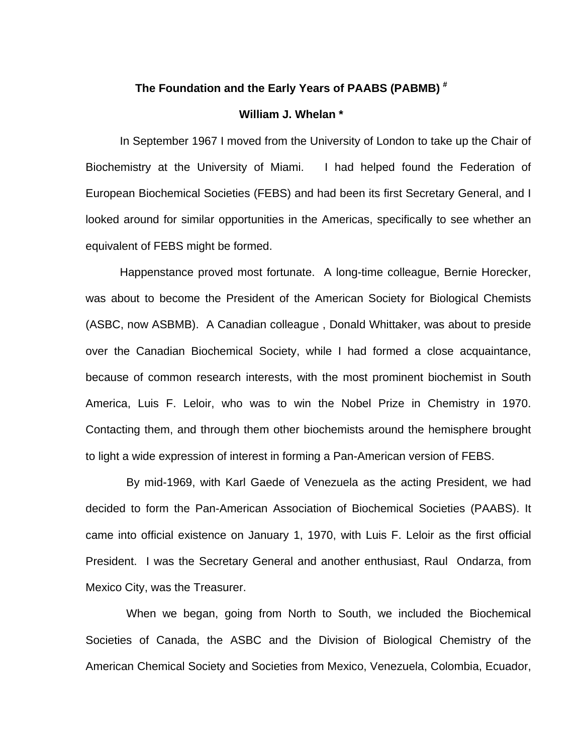## **The Foundation and the Early Years of PAABS (PABMB) #**

## **William J. Whelan \***

 In September 1967 I moved from the University of London to take up the Chair of Biochemistry at the University of Miami. I had helped found the Federation of European Biochemical Societies (FEBS) and had been its first Secretary General, and I looked around for similar opportunities in the Americas, specifically to see whether an equivalent of FEBS might be formed.

 Happenstance proved most fortunate. A long-time colleague, Bernie Horecker, was about to become the President of the American Society for Biological Chemists (ASBC, now ASBMB). A Canadian colleague , Donald Whittaker, was about to preside over the Canadian Biochemical Society, while I had formed a close acquaintance, because of common research interests, with the most prominent biochemist in South America, Luis F. Leloir, who was to win the Nobel Prize in Chemistry in 1970. Contacting them, and through them other biochemists around the hemisphere brought to light a wide expression of interest in forming a Pan-American version of FEBS.

 By mid-1969, with Karl Gaede of Venezuela as the acting President, we had decided to form the Pan-American Association of Biochemical Societies (PAABS). It came into official existence on January 1, 1970, with Luis F. Leloir as the first official President. I was the Secretary General and another enthusiast, Raul Ondarza, from Mexico City, was the Treasurer.

 When we began, going from North to South, we included the Biochemical Societies of Canada, the ASBC and the Division of Biological Chemistry of the American Chemical Society and Societies from Mexico, Venezuela, Colombia, Ecuador,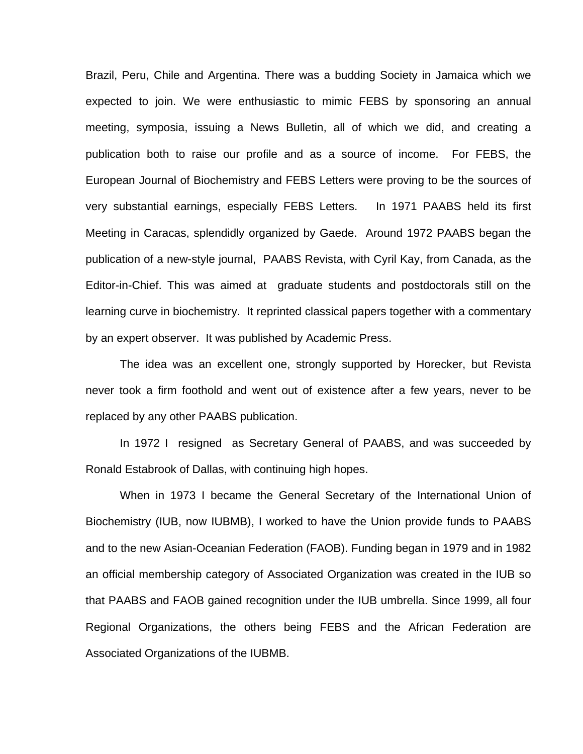Brazil, Peru, Chile and Argentina. There was a budding Society in Jamaica which we expected to join. We were enthusiastic to mimic FEBS by sponsoring an annual meeting, symposia, issuing a News Bulletin, all of which we did, and creating a publication both to raise our profile and as a source of income. For FEBS, the European Journal of Biochemistry and FEBS Letters were proving to be the sources of very substantial earnings, especially FEBS Letters. In 1971 PAABS held its first Meeting in Caracas, splendidly organized by Gaede. Around 1972 PAABS began the publication of a new-style journal, PAABS Revista, with Cyril Kay, from Canada, as the Editor-in-Chief. This was aimed at graduate students and postdoctorals still on the learning curve in biochemistry. It reprinted classical papers together with a commentary by an expert observer. It was published by Academic Press.

 The idea was an excellent one, strongly supported by Horecker, but Revista never took a firm foothold and went out of existence after a few years, never to be replaced by any other PAABS publication.

 In 1972 I resigned as Secretary General of PAABS, and was succeeded by Ronald Estabrook of Dallas, with continuing high hopes.

 When in 1973 I became the General Secretary of the International Union of Biochemistry (IUB, now IUBMB), I worked to have the Union provide funds to PAABS and to the new Asian-Oceanian Federation (FAOB). Funding began in 1979 and in 1982 an official membership category of Associated Organization was created in the IUB so that PAABS and FAOB gained recognition under the IUB umbrella. Since 1999, all four Regional Organizations, the others being FEBS and the African Federation are Associated Organizations of the IUBMB.